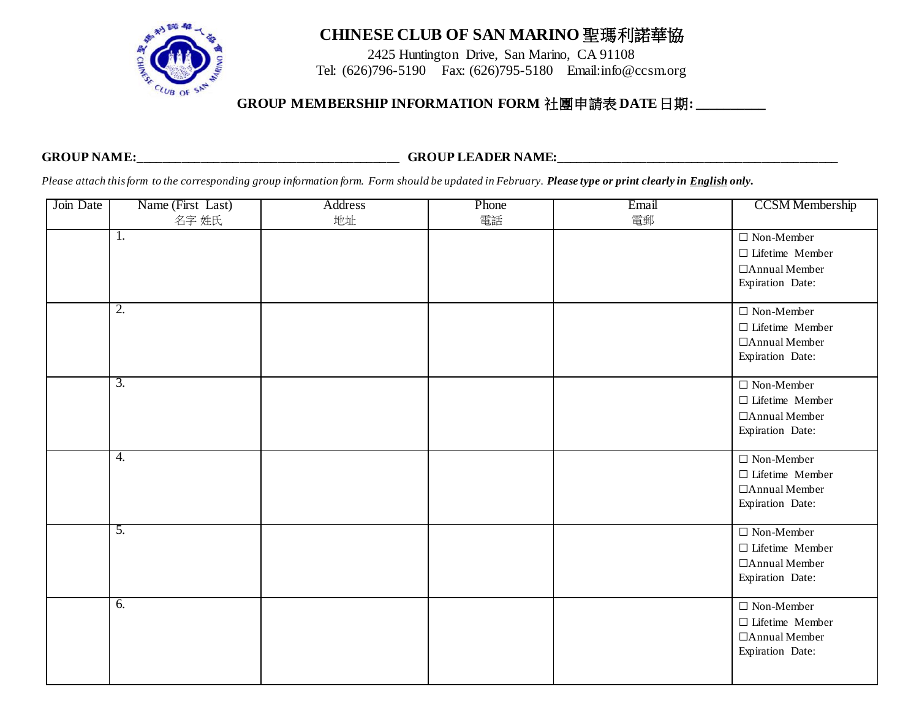

## **CHINESE CLUB OF SAN MARINO** 聖瑪利諾華協

2425 Huntington Drive, San Marino, CA 91108 Tel: (626)796-5190 Fax: (626)795-5180 Email:info@ccsm.org

## **GROUP MEMBERSHIP INFORMATION FORM** 社團申請表 **DATE**日期**: \_\_\_\_\_\_\_\_\_\_**

## **GROUP NAME:\_\_\_\_\_\_\_\_\_\_\_\_\_\_\_\_\_\_\_\_\_\_\_\_\_\_\_\_\_\_\_\_\_\_\_\_\_\_\_\_\_ GROUP LEADER NAME:\_\_\_\_\_\_\_\_\_\_\_\_\_\_\_\_\_\_\_\_\_\_\_\_\_\_\_\_\_\_\_\_\_\_\_\_\_\_\_\_\_\_\_\_**

*Please attach this form to the corresponding group information form. Form should be updated in February. Please type or print clearly in English only.*

| Join Date | Name (First Last) | Address | Phone | Email | <b>CCSM</b> Membership          |
|-----------|-------------------|---------|-------|-------|---------------------------------|
|           | 名字 姓氏             | 地址      | 電話    | 電郵    |                                 |
|           | 1.                |         |       |       | $\Box$ Non-Member               |
|           |                   |         |       |       | $\Box$ Lifetime Member          |
|           |                   |         |       |       | □ Annual Member                 |
|           |                   |         |       |       | Expiration Date:                |
|           |                   |         |       |       |                                 |
|           | $\overline{2}$ .  |         |       |       | $\Box$ Non-Member               |
|           |                   |         |       |       | $\Box$ Lifetime Member          |
|           |                   |         |       |       | □ Annual Member                 |
|           |                   |         |       |       | Expiration Date:                |
|           | $\overline{3}$ .  |         |       |       | $\Box$ Non-Member               |
|           |                   |         |       |       | $\Box$ Lifetime Member          |
|           |                   |         |       |       | □ Annual Member                 |
|           |                   |         |       |       | Expiration Date:                |
|           |                   |         |       |       |                                 |
|           | 4.                |         |       |       | $\Box$ Non-Member               |
|           |                   |         |       |       | $\Box$ Lifetime Member          |
|           |                   |         |       |       | □ Annual Member                 |
|           |                   |         |       |       | Expiration Date:                |
|           | 5.                |         |       |       |                                 |
|           |                   |         |       |       | $\Box$ Non-Member               |
|           |                   |         |       |       | $\hfill\Box$<br>Lifetime Member |
|           |                   |         |       |       | □ Annual Member                 |
|           |                   |         |       |       | Expiration Date:                |
|           | 6.                |         |       |       | $\Box$ Non-Member               |
|           |                   |         |       |       | $\Box$ Lifetime Member          |
|           |                   |         |       |       | □ Annual Member                 |
|           |                   |         |       |       | Expiration Date:                |
|           |                   |         |       |       |                                 |
|           |                   |         |       |       |                                 |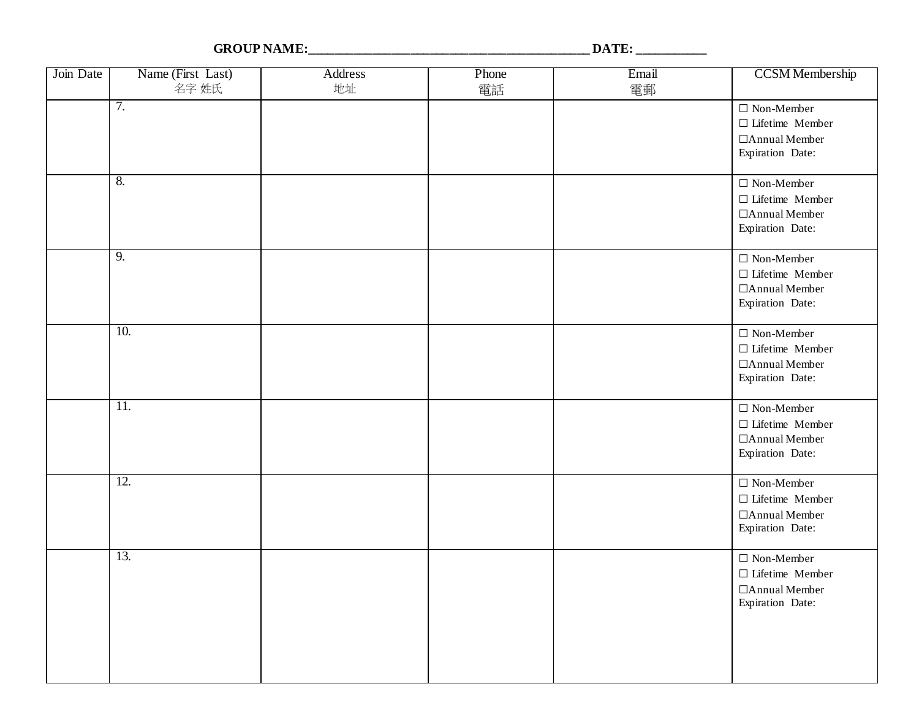| Join Date | Name (First Last) | <b>Address</b> | Phone | Email | <b>CCSM</b> Membership      |
|-----------|-------------------|----------------|-------|-------|-----------------------------|
|           | 名字 姓氏             | 地址             | 電話    | 電郵    |                             |
|           | 7.                |                |       |       | $\Box$ Non-Member           |
|           |                   |                |       |       | $\Box$ Lifetime Member      |
|           |                   |                |       |       | □ Annual Member             |
|           |                   |                |       |       | Expiration Date:            |
|           |                   |                |       |       |                             |
|           | 8.                |                |       |       | $\Box$ Non-Member           |
|           |                   |                |       |       | $\Box$ Lifetime Member      |
|           |                   |                |       |       | □ Annual Member             |
|           |                   |                |       |       | Expiration Date:            |
|           |                   |                |       |       |                             |
|           | 9.                |                |       |       | $\Box$ Non-Member           |
|           |                   |                |       |       | $\Box$ Lifetime Member      |
|           |                   |                |       |       | □ Annual Member             |
|           |                   |                |       |       | Expiration Date:            |
|           |                   |                |       |       |                             |
|           | 10.               |                |       |       | $\Box$ Non-Member           |
|           |                   |                |       |       | $\Box$ Lifetime Member      |
|           |                   |                |       |       | □ Annual Member             |
|           |                   |                |       |       | Expiration Date:            |
|           | 11.               |                |       |       | $\Box$ Non-Member           |
|           |                   |                |       |       | $\Box$ Lifetime Member      |
|           |                   |                |       |       | □ Annual Member             |
|           |                   |                |       |       | Expiration Date:            |
|           |                   |                |       |       |                             |
|           | 12.               |                |       |       | $\Box$ Non-Member           |
|           |                   |                |       |       | $\Box$ Lifetime Member      |
|           |                   |                |       |       | □ Annual Member             |
|           |                   |                |       |       | Expiration Date:            |
|           |                   |                |       |       |                             |
|           | 13.               |                |       |       | $\Box$ Non-Member           |
|           |                   |                |       |       | $\Box$ Lifetime Member      |
|           |                   |                |       |       | $\Box \text{Annual Member}$ |
|           |                   |                |       |       | Expiration Date:            |
|           |                   |                |       |       |                             |
|           |                   |                |       |       |                             |
|           |                   |                |       |       |                             |
|           |                   |                |       |       |                             |
|           |                   |                |       |       |                             |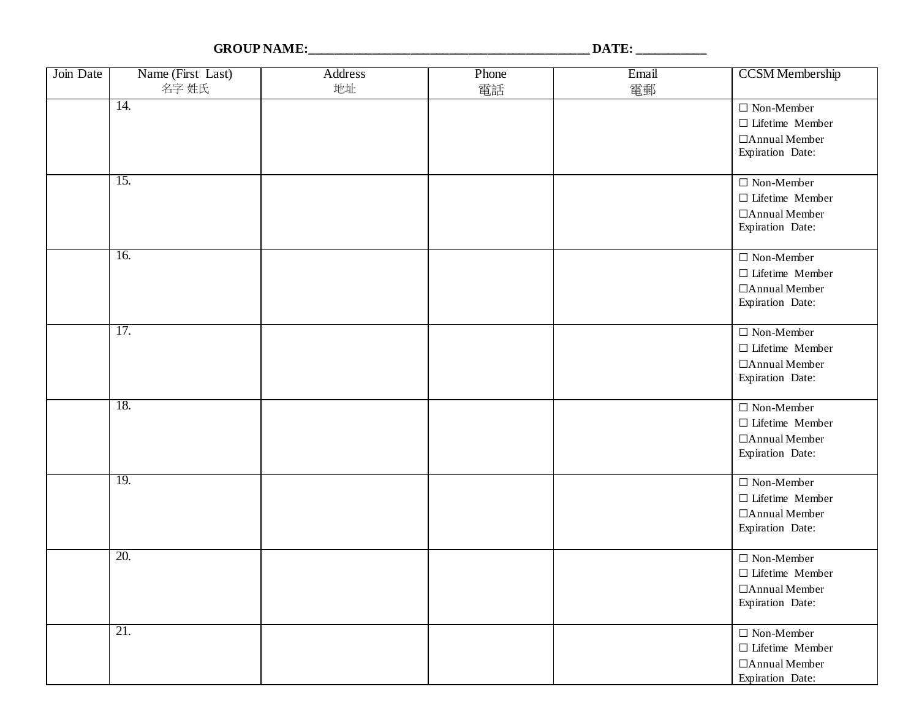| Join Date | Name (First Last) | Address | Phone | Email | <b>CCSM</b> Membership                     |
|-----------|-------------------|---------|-------|-------|--------------------------------------------|
|           | 名字 姓氏             | 地址      | 電話    | 電郵    |                                            |
|           | 14.               |         |       |       | $\Box$ Non-Member                          |
|           |                   |         |       |       | $\Box$ Lifetime Member                     |
|           |                   |         |       |       | □ Annual Member                            |
|           |                   |         |       |       | Expiration Date:                           |
|           |                   |         |       |       |                                            |
|           | 15.               |         |       |       | $\square$ Non-Member                       |
|           |                   |         |       |       | $\Box$ Lifetime Member                     |
|           |                   |         |       |       | □ Annual Member                            |
|           |                   |         |       |       | Expiration Date:                           |
|           |                   |         |       |       |                                            |
|           | 16.               |         |       |       | $\square$ Non-Member                       |
|           |                   |         |       |       | $\Box$ Lifetime Member                     |
|           |                   |         |       |       | □ Annual Member                            |
|           |                   |         |       |       | Expiration Date:                           |
|           |                   |         |       |       |                                            |
|           | 17.               |         |       |       | $\square$ Non-Member                       |
|           |                   |         |       |       | $\Box$ Lifetime Member                     |
|           |                   |         |       |       | □ Annual Member                            |
|           |                   |         |       |       | Expiration Date:                           |
|           | 18.               |         |       |       | $\square$ Non-Member                       |
|           |                   |         |       |       | $\Box$ Lifetime Member                     |
|           |                   |         |       |       | □ Annual Member                            |
|           |                   |         |       |       | Expiration Date:                           |
|           |                   |         |       |       |                                            |
|           | 19.               |         |       |       | $\square$ Non-Member                       |
|           |                   |         |       |       | $\hfill\Box$<br>Lifetime $% \Delta$ Member |
|           |                   |         |       |       | □ Annual Member                            |
|           |                   |         |       |       | Expiration Date:                           |
|           |                   |         |       |       |                                            |
|           | 20.               |         |       |       | $\Box$ Non-Member                          |
|           |                   |         |       |       | $\Box$ Lifetime Member                     |
|           |                   |         |       |       | □ Annual Member                            |
|           |                   |         |       |       | Expiration Date:                           |
|           |                   |         |       |       |                                            |
|           | 21.               |         |       |       | $\Box$ Non-Member                          |
|           |                   |         |       |       | $\Box$ Lifetime Member                     |
|           |                   |         |       |       | □ Annual Member                            |
|           |                   |         |       |       | Expiration Date:                           |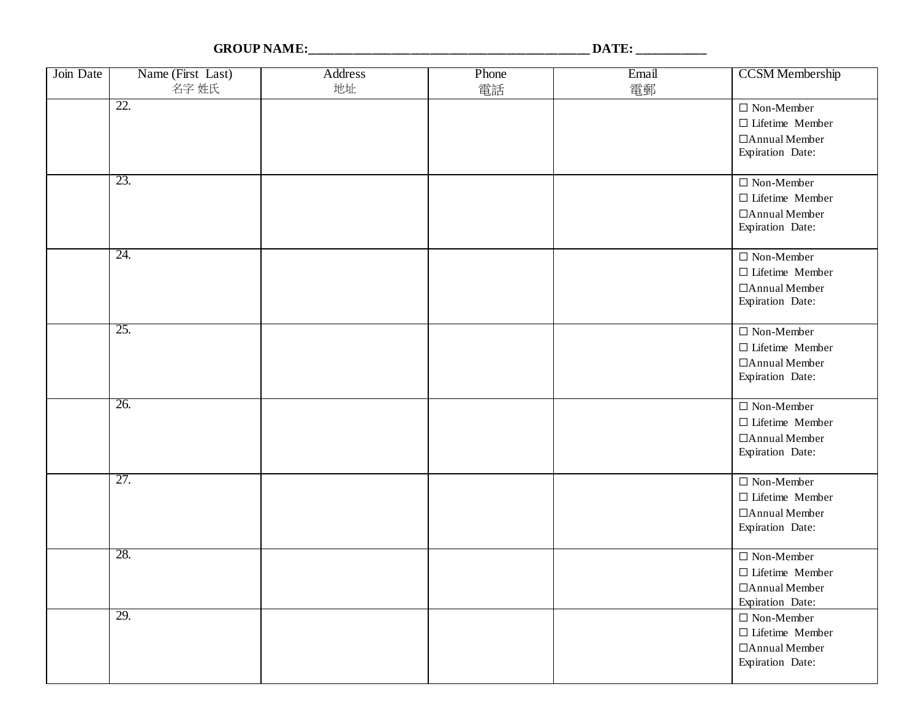| Join Date | Name (First Last) | Address | Phone | Email | <b>CCSM</b> Membership |
|-----------|-------------------|---------|-------|-------|------------------------|
|           | 名字 姓氏             | 地址      | 電話    | 電郵    |                        |
|           | 22.               |         |       |       | $\Box$ Non-Member      |
|           |                   |         |       |       | $\Box$ Lifetime Member |
|           |                   |         |       |       | □ Annual Member        |
|           |                   |         |       |       | Expiration Date:       |
|           |                   |         |       |       |                        |
|           | 23.               |         |       |       | $\Box$ Non-Member      |
|           |                   |         |       |       | $\Box$ Lifetime Member |
|           |                   |         |       |       | □ Annual Member        |
|           |                   |         |       |       | Expiration Date:       |
|           |                   |         |       |       |                        |
|           | 24.               |         |       |       | $\Box$ Non-Member      |
|           |                   |         |       |       | $\Box$ Lifetime Member |
|           |                   |         |       |       | □ Annual Member        |
|           |                   |         |       |       | Expiration Date:       |
|           | 25.               |         |       |       |                        |
|           |                   |         |       |       | $\Box$ Non-Member      |
|           |                   |         |       |       | $\Box$ Lifetime Member |
|           |                   |         |       |       | □ Annual Member        |
|           |                   |         |       |       | Expiration Date:       |
|           | 26.               |         |       |       | $\Box$ Non-Member      |
|           |                   |         |       |       | $\Box$ Lifetime Member |
|           |                   |         |       |       | □ Annual Member        |
|           |                   |         |       |       | Expiration Date:       |
|           |                   |         |       |       |                        |
|           | 27.               |         |       |       | $\Box$ Non-Member      |
|           |                   |         |       |       | $\Box$ Lifetime Member |
|           |                   |         |       |       | □ Annual Member        |
|           |                   |         |       |       | Expiration Date:       |
|           |                   |         |       |       |                        |
|           | 28.               |         |       |       | $\Box$ Non-Member      |
|           |                   |         |       |       | $\Box$ Lifetime Member |
|           |                   |         |       |       | □ Annual Member        |
|           |                   |         |       |       | Expiration Date:       |
|           | 29.               |         |       |       | $\Box$ Non-Member      |
|           |                   |         |       |       | $\Box$ Lifetime Member |
|           |                   |         |       |       | □ Annual Member        |
|           |                   |         |       |       | Expiration Date:       |
|           |                   |         |       |       |                        |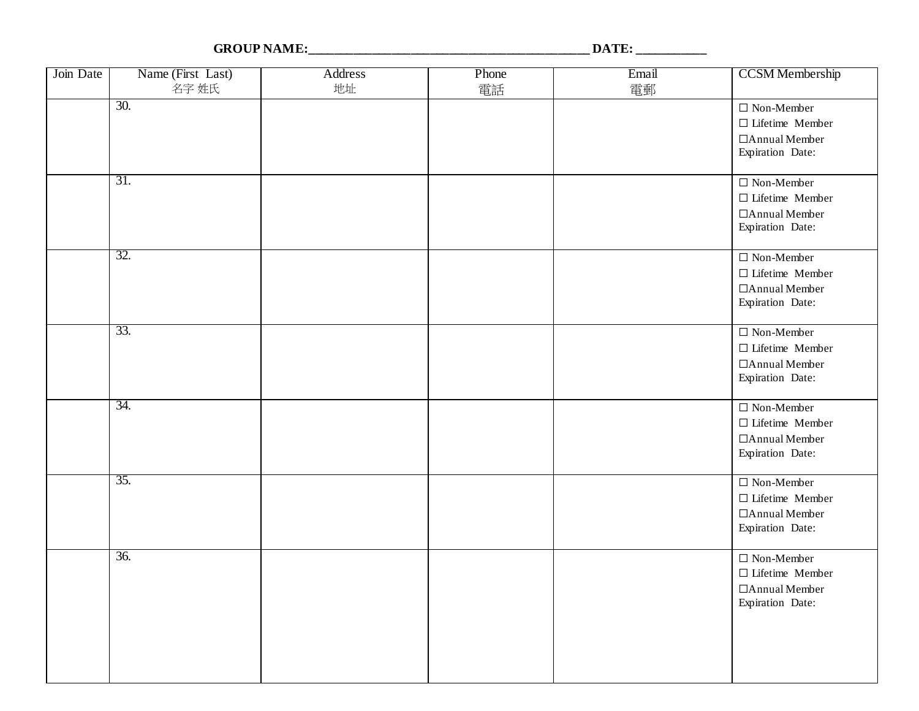| Join Date | Name (First Last) | Address | Phone | Email | <b>CCSM</b> Membership                     |
|-----------|-------------------|---------|-------|-------|--------------------------------------------|
|           | 名字 姓氏             | 地址      | 電話    | 電郵    |                                            |
|           | $\overline{30}$ . |         |       |       | $\Box$ Non-Member                          |
|           |                   |         |       |       | $\Box$ Lifetime Member                     |
|           |                   |         |       |       | □ Annual Member                            |
|           |                   |         |       |       | Expiration Date:                           |
|           |                   |         |       |       |                                            |
|           | $\overline{31}$ . |         |       |       | $\square$ Non-Member                       |
|           |                   |         |       |       | $\Box$ Lifetime Member                     |
|           |                   |         |       |       | □ Annual Member                            |
|           |                   |         |       |       | Expiration Date:                           |
|           |                   |         |       |       |                                            |
|           | 32.               |         |       |       | $\square$ Non-Member                       |
|           |                   |         |       |       | $\hfill\Box$<br>Lifetime $% \Delta$ Member |
|           |                   |         |       |       | □ Annual Member                            |
|           |                   |         |       |       | Expiration Date:                           |
|           |                   |         |       |       |                                            |
|           | 33.               |         |       |       | $\square$ Non-Member                       |
|           |                   |         |       |       | $\Box$ Lifetime Member                     |
|           |                   |         |       |       | □ Annual Member                            |
|           |                   |         |       |       | Expiration Date:                           |
|           | 34.               |         |       |       | $\Box$ Non-Member                          |
|           |                   |         |       |       | $\Box$ Lifetime Member                     |
|           |                   |         |       |       | □ Annual Member                            |
|           |                   |         |       |       | Expiration Date:                           |
|           |                   |         |       |       |                                            |
|           | 35.               |         |       |       | $\square$ Non-Member                       |
|           |                   |         |       |       | $\Box$ Lifetime Member                     |
|           |                   |         |       |       | □ Annual Member                            |
|           |                   |         |       |       | Expiration Date:                           |
|           |                   |         |       |       |                                            |
|           | $\overline{36}$ . |         |       |       | $\Box$ Non-Member                          |
|           |                   |         |       |       | $\Box$ Lifetime Member                     |
|           |                   |         |       |       | $\Box$ Annual Member                       |
|           |                   |         |       |       | Expiration Date:                           |
|           |                   |         |       |       |                                            |
|           |                   |         |       |       |                                            |
|           |                   |         |       |       |                                            |
|           |                   |         |       |       |                                            |
|           |                   |         |       |       |                                            |